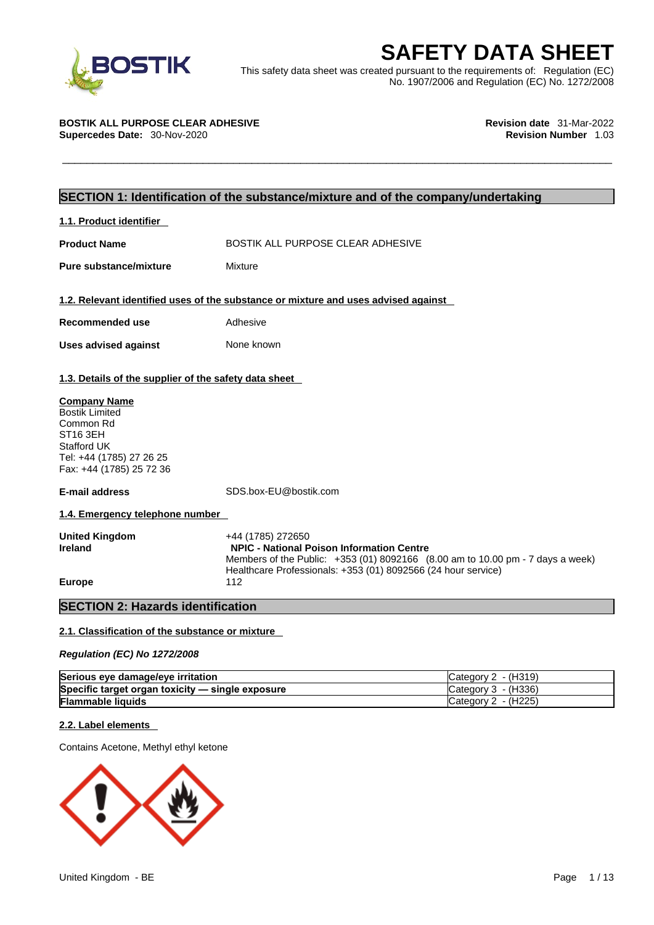

**SAFETY DATA SHEET**<br>
This safety data sheet was created pursuant to the requirements of: Regulation (EC)<br>
No. 1907/2006 and Regulation (EC) No. 1272/2008<br> **SOSTIK ALL PURPOSE CLEAR ADHESIVE**<br> **Revision date** 31-Mar-2022<br>
R This safety data sheet was created pursuant to the requirements of: Regulation (EC) No. 1907/2006 and Regulation (EC) No. 1272/2008

**BOSTIK ALL PURPOSE CLEAR ADHESIVE Revision date** 31-Mar-2022 **Supercedes Date:** 30-Nov-2020 **Revision Number** 1.03

# **SECTION 1: Identification of the substance/mixture and of the company/undertaking**

**1.1. Product identifier** 

**Product Name The BOSTIK ALL PURPOSE CLEAR ADHESIVE** 

**Pure substance/mixture** Mixture

# **1.2. Relevant identified uses of the substance or mixture and uses advised against**

**Recommended use** Adhesive **Uses advised against** None known

**1.3. Details of the supplier of the safety data sheet**

## **Company Name**

Bostik Limited Common Rd ST16 3EH Stafford UK Tel: +44 (1785) 27 26 25 Fax: +44 (1785) 25 72 36

**E-mail address** SDS.box-EU@bostik.com

**1.4. Emergency telephone number** 

| <b>United Kingdom</b> | +44 (1785) 272650                                                              |
|-----------------------|--------------------------------------------------------------------------------|
| <b>Ireland</b>        | <b>NPIC - National Poison Information Centre</b>                               |
|                       | Members of the Public: +353 (01) 8092166 (8.00 am to 10.00 pm - 7 days a week) |
|                       | Healthcare Professionals: +353 (01) 8092566 (24 hour service)                  |
| <b>Europe</b>         | 112                                                                            |

# **SECTION 2: Hazards identification**

## **2.1. Classification of the substance or mixture**

*Regulation (EC) No 1272/2008* 

| Serious eye damage/eye irritation                | Category $2 - (H319)$                                            |
|--------------------------------------------------|------------------------------------------------------------------|
| Specific target organ toxicity - single exposure | $\textsf{C}\text{ate}$ are $\textsf{C}\text{C}\text{A}$ - (H336) |
| <b>Flammable liquids</b>                         | $\textsf{C}\text{a}$ tegory 2 - (H225)                           |

# **2.2. Label elements**

Contains Acetone, Methyl ethyl ketone

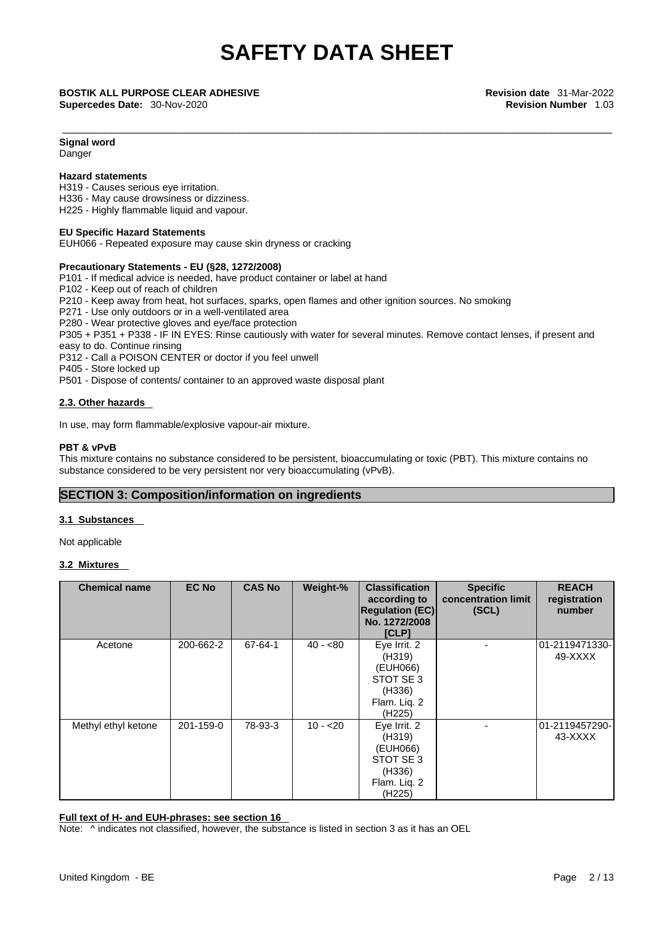**Supercedes Date:** 30-Nov-2020 **Revision Number** 1.03

\_\_\_\_\_\_\_\_\_\_\_\_\_\_\_\_\_\_\_\_\_\_\_\_\_\_\_\_\_\_\_\_\_\_\_\_\_\_\_\_\_\_\_\_\_\_\_\_\_\_\_\_\_\_\_\_\_\_\_\_\_\_\_\_\_\_\_\_\_\_\_\_\_\_\_\_\_\_\_\_\_\_\_\_\_\_\_\_\_\_ **BOSTIK ALL PURPOSE CLEAR ADHESIVE Revision date** 31-Mar-2022

# **Signal word**

Danger

# **Hazard statements**

H319 - Causes serious eye irritation.

H336 - May cause drowsiness or dizziness.

H225 - Highly flammable liquid and vapour.

# **EU Specific Hazard Statements**

EUH066 - Repeated exposure may cause skin dryness or cracking

# **Precautionary Statements - EU (§28, 1272/2008)**

P101 - If medical advice is needed, have product container or label at hand

- P102 Keep out of reach of children
- P210 Keep away from heat, hot surfaces, sparks, open flames and other ignition sources. No smoking

P271 - Use only outdoors or in a well-ventilated area

P280 - Wear protective gloves and eye/face protection

P305 + P351 + P338 - IF IN EYES: Rinse cautiously with water for several minutes. Remove contact lenses, if present and easy to do. Continue rinsing

P312 - Call a POISON CENTER or doctor if you feel unwell

P405 - Store locked up

P501 - Dispose of contents/ container to an approved waste disposal plant

# **2.3. Other hazards**

In use, may form flammable/explosive vapour-air mixture.

# **PBT & vPvB**

This mixture contains no substance considered to be persistent, bioaccumulating or toxic (PBT). This mixture contains no substance considered to be very persistent nor very bioaccumulating (vPvB).

# **SECTION 3: Composition/information on ingredients**

## **3.1 Substances**

Not applicable

# **3.2 Mixtures**

| <b>Chemical name</b> | <b>EC No</b> | <b>CAS No</b> | Weight-%  | <b>Classification</b><br>according to<br><b>Regulation (EC)</b><br>No. 1272/2008<br>[CLP]        | <b>Specific</b><br>concentration limit<br>(SCL) | <b>REACH</b><br>registration<br>number |
|----------------------|--------------|---------------|-----------|--------------------------------------------------------------------------------------------------|-------------------------------------------------|----------------------------------------|
| Acetone              | 200-662-2    | 67-64-1       | $40 - 80$ | Eye Irrit. 2<br>(H319)<br>(EUH066)<br>STOT SE 3<br>(H336)<br>Flam. Liq. 2<br>(H <sub>225</sub> ) |                                                 | 01-2119471330-<br>49-XXXX              |
| Methyl ethyl ketone  | 201-159-0    | 78-93-3       | $10 - 20$ | Eye Irrit. 2<br>(H319)<br>(EUH066)<br>STOT SE 3<br>(H336)<br>Flam. Liq. 2<br>(H225)              |                                                 | 01-2119457290-<br>43-XXXX              |

# **Full text of H- and EUH-phrases: see section 16**

Note:  $\wedge$  indicates not classified, however, the substance is listed in section 3 as it has an OEL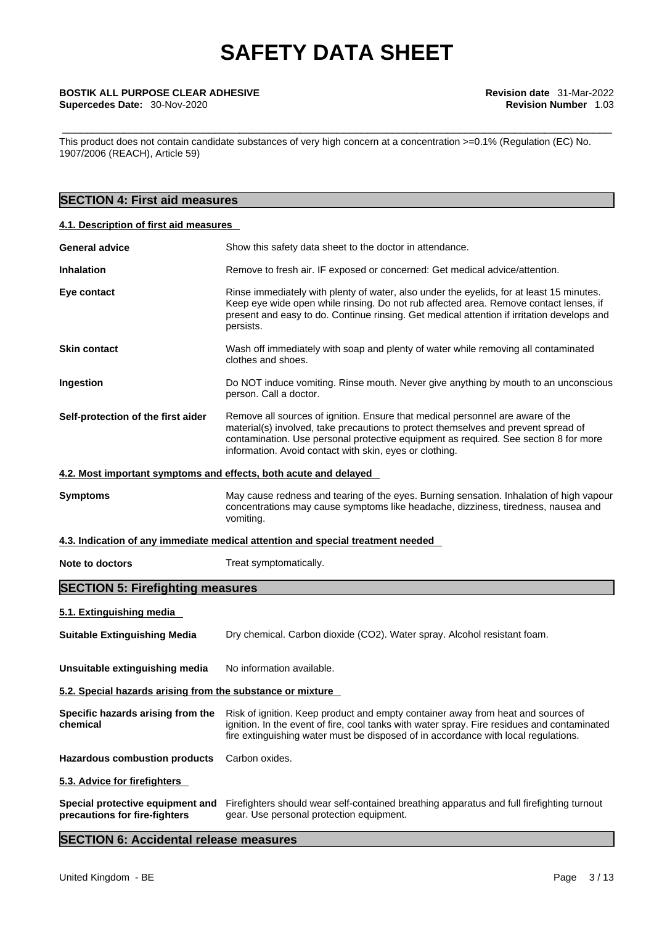This product does not contain candidate substances of very high concern at a concentration >=0.1% (Regulation (EC) No. 1907/2006 (REACH), Article 59)

# **SECTION 4: First aid measures**

# **4.1. Description of first aid measures**

| <b>General advice</b>                                             | Show this safety data sheet to the doctor in attendance.                                                                                                                                                                                                                                                                |  |  |
|-------------------------------------------------------------------|-------------------------------------------------------------------------------------------------------------------------------------------------------------------------------------------------------------------------------------------------------------------------------------------------------------------------|--|--|
| <b>Inhalation</b>                                                 | Remove to fresh air. IF exposed or concerned: Get medical advice/attention.                                                                                                                                                                                                                                             |  |  |
| Eye contact                                                       | Rinse immediately with plenty of water, also under the eyelids, for at least 15 minutes.<br>Keep eye wide open while rinsing. Do not rub affected area. Remove contact lenses, if<br>present and easy to do. Continue rinsing. Get medical attention if irritation develops and<br>persists.                            |  |  |
| <b>Skin contact</b>                                               | Wash off immediately with soap and plenty of water while removing all contaminated<br>clothes and shoes.                                                                                                                                                                                                                |  |  |
| Ingestion                                                         | Do NOT induce vomiting. Rinse mouth. Never give anything by mouth to an unconscious<br>person. Call a doctor.                                                                                                                                                                                                           |  |  |
| Self-protection of the first aider                                | Remove all sources of ignition. Ensure that medical personnel are aware of the<br>material(s) involved, take precautions to protect themselves and prevent spread of<br>contamination. Use personal protective equipment as required. See section 8 for more<br>information. Avoid contact with skin, eyes or clothing. |  |  |
| 4.2. Most important symptoms and effects, both acute and delayed  |                                                                                                                                                                                                                                                                                                                         |  |  |
| <b>Symptoms</b>                                                   | May cause redness and tearing of the eyes. Burning sensation. Inhalation of high vapour<br>concentrations may cause symptoms like headache, dizziness, tiredness, nausea and<br>vomiting.                                                                                                                               |  |  |
|                                                                   | 4.3. Indication of any immediate medical attention and special treatment needed                                                                                                                                                                                                                                         |  |  |
| Note to doctors                                                   | Treat symptomatically.                                                                                                                                                                                                                                                                                                  |  |  |
| <b>SECTION 5: Firefighting measures</b>                           |                                                                                                                                                                                                                                                                                                                         |  |  |
| 5.1. Extinguishing media                                          |                                                                                                                                                                                                                                                                                                                         |  |  |
| <b>Suitable Extinguishing Media</b>                               | Dry chemical. Carbon dioxide (CO2). Water spray. Alcohol resistant foam.                                                                                                                                                                                                                                                |  |  |
| Unsuitable extinguishing media                                    | No information available.                                                                                                                                                                                                                                                                                               |  |  |
| 5.2. Special hazards arising from the substance or mixture        |                                                                                                                                                                                                                                                                                                                         |  |  |
| Specific hazards arising from the<br>chemical                     | Risk of ignition. Keep product and empty container away from heat and sources of<br>ignition. In the event of fire, cool tanks with water spray. Fire residues and contaminated<br>fire extinguishing water must be disposed of in accordance with local regulations.                                                   |  |  |
| <b>Hazardous combustion products</b>                              | Carbon oxides.                                                                                                                                                                                                                                                                                                          |  |  |
| 5.3. Advice for firefighters                                      |                                                                                                                                                                                                                                                                                                                         |  |  |
| Special protective equipment and<br>precautions for fire-fighters | Firefighters should wear self-contained breathing apparatus and full firefighting turnout<br>gear. Use personal protection equipment.                                                                                                                                                                                   |  |  |

# **SECTION 6: Accidental release measures**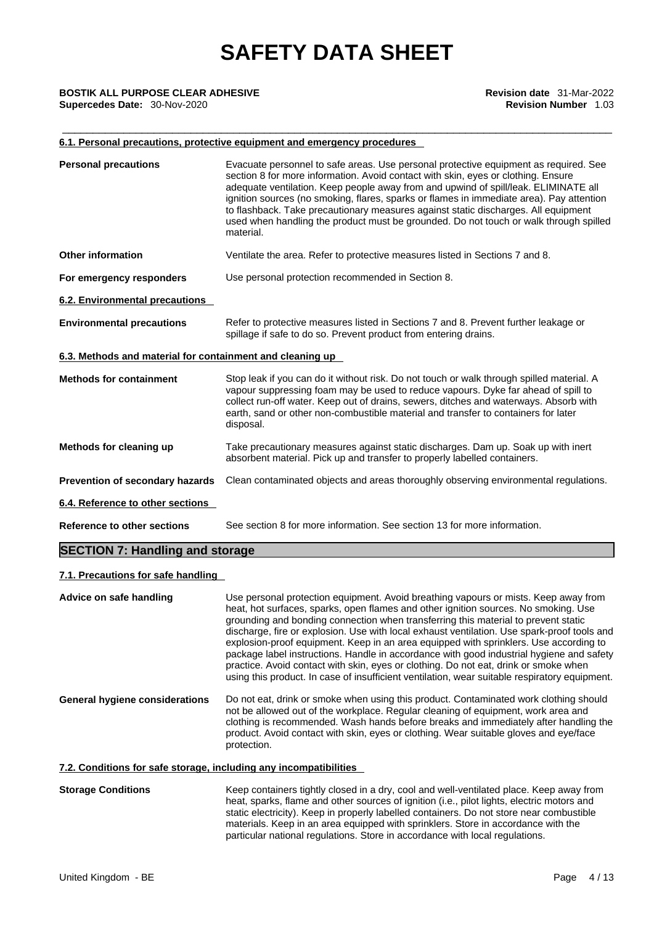## **6.1. Personal precautions, protective equipment and emergency procedures**

| <b>Personal precautions</b>                               | Evacuate personnel to safe areas. Use personal protective equipment as required. See<br>section 8 for more information. Avoid contact with skin, eyes or clothing. Ensure<br>adequate ventilation. Keep people away from and upwind of spill/leak. ELIMINATE all<br>ignition sources (no smoking, flares, sparks or flames in immediate area). Pay attention<br>to flashback. Take precautionary measures against static discharges. All equipment<br>used when handling the product must be grounded. Do not touch or walk through spilled<br>material. |
|-----------------------------------------------------------|----------------------------------------------------------------------------------------------------------------------------------------------------------------------------------------------------------------------------------------------------------------------------------------------------------------------------------------------------------------------------------------------------------------------------------------------------------------------------------------------------------------------------------------------------------|
| <b>Other information</b>                                  | Ventilate the area. Refer to protective measures listed in Sections 7 and 8.                                                                                                                                                                                                                                                                                                                                                                                                                                                                             |
| For emergency responders                                  | Use personal protection recommended in Section 8.                                                                                                                                                                                                                                                                                                                                                                                                                                                                                                        |
| <b>6.2. Environmental precautions</b>                     |                                                                                                                                                                                                                                                                                                                                                                                                                                                                                                                                                          |
| <b>Environmental precautions</b>                          | Refer to protective measures listed in Sections 7 and 8. Prevent further leakage or<br>spillage if safe to do so. Prevent product from entering drains.                                                                                                                                                                                                                                                                                                                                                                                                  |
| 6.3. Methods and material for containment and cleaning up |                                                                                                                                                                                                                                                                                                                                                                                                                                                                                                                                                          |
| <b>Methods for containment</b>                            | Stop leak if you can do it without risk. Do not touch or walk through spilled material. A<br>vapour suppressing foam may be used to reduce vapours. Dyke far ahead of spill to<br>collect run-off water. Keep out of drains, sewers, ditches and waterways. Absorb with<br>earth, sand or other non-combustible material and transfer to containers for later<br>disposal.                                                                                                                                                                               |
| Methods for cleaning up                                   | Take precautionary measures against static discharges. Dam up. Soak up with inert<br>absorbent material. Pick up and transfer to properly labelled containers.                                                                                                                                                                                                                                                                                                                                                                                           |
| Prevention of secondary hazards                           | Clean contaminated objects and areas thoroughly observing environmental regulations.                                                                                                                                                                                                                                                                                                                                                                                                                                                                     |
| 6.4. Reference to other sections                          |                                                                                                                                                                                                                                                                                                                                                                                                                                                                                                                                                          |
| <b>Reference to other sections</b>                        | See section 8 for more information. See section 13 for more information.                                                                                                                                                                                                                                                                                                                                                                                                                                                                                 |
|                                                           |                                                                                                                                                                                                                                                                                                                                                                                                                                                                                                                                                          |

# **SECTION 7: Handling and storage**

# **7.1. Precautions for safe handling**

**Advice on safe handling** Use personal protection equipment. Avoid breathing vapours or mists. Keep away from heat, hot surfaces, sparks, open flames and other ignition sources. No smoking. Use grounding and bonding connection when transferring this material to prevent static discharge, fire or explosion. Use with local exhaust ventilation. Use spark-prooftools and explosion-proof equipment. Keep in an area equipped with sprinklers. Use according to package label instructions. Handle in accordance with good industrial hygiene and safety practice. Avoid contact with skin, eyes or clothing. Do not eat, drink or smoke when using this product. In case of insufficient ventilation, wear suitable respiratory equipment. **General hygiene considerations** Do not eat, drink or smoke when using this product. Contaminated work clothing should not be allowed out of the workplace. Regular cleaning of equipment, work area and clothing is recommended. Wash hands before breaks and immediately after handling the product. Avoid contact with skin, eyes or clothing. Wear suitable gloves and eye/face protection. **7.2. Conditions for safe storage, including any incompatibilities**

## **Storage Conditions** Keep containers tightly closed in a dry, cool and well-ventilated place. Keep away from heat, sparks, flame and other sources of ignition (i.e., pilot lights, electric motors and static electricity). Keep in properly labelled containers. Do not store near combustible materials. Keep in an area equipped with sprinklers. Store in accordance with the particular national regulations. Store in accordance with local regulations.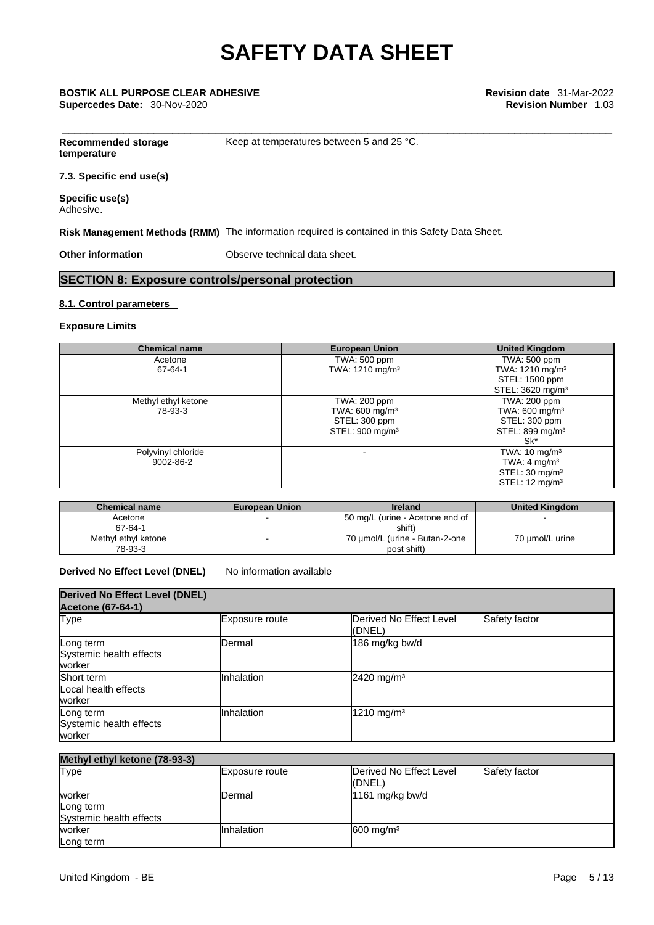\_\_\_\_\_\_\_\_\_\_\_\_\_\_\_\_\_\_\_\_\_\_\_\_\_\_\_\_\_\_\_\_\_\_\_\_\_\_\_\_\_\_\_\_\_\_\_\_\_\_\_\_\_\_\_\_\_\_\_\_\_\_\_\_\_\_\_\_\_\_\_\_\_\_\_\_\_\_\_\_\_\_\_\_\_\_\_\_\_\_ **BOSTIK ALL PURPOSE CLEAR ADHESIVE Revision date** 31-Mar-2022 **Supercedes Date:** 30-Nov-2020 **Revision Number** 1.03

**Recommended storage** Keep at temperatures between 5 and 25 °C.

**temperature**

**7.3. Specific end use(s)** 

**Specific use(s)** Adhesive.

**Risk Management Methods (RMM)** The information required is contained in this Safety Data Sheet.

**Other information Observe technical data sheet.** 

# **SECTION 8: Exposure controls/personal protection**

# **8.1. Control parameters**

## **Exposure Limits**

| <b>Chemical name</b>            | <b>European Union</b>                                                                      | <b>United Kingdom</b>                                                                                          |
|---------------------------------|--------------------------------------------------------------------------------------------|----------------------------------------------------------------------------------------------------------------|
| Acetone<br>67-64-1              | TWA: 500 ppm<br>TWA: 1210 mg/m <sup>3</sup>                                                | TWA: 500 ppm<br>TWA: 1210 mg/m <sup>3</sup>                                                                    |
|                                 |                                                                                            | STEL: 1500 ppm<br>STEL: 3620 mg/m <sup>3</sup>                                                                 |
| Methyl ethyl ketone<br>78-93-3  | TWA: 200 ppm<br>TWA: 600 mg/m <sup>3</sup><br>STEL: 300 ppm<br>STEL: 900 mg/m <sup>3</sup> | TWA: 200 ppm<br>TWA: 600 mg/m <sup>3</sup><br>STEL: 300 ppm<br>STEL: 899 mg/m <sup>3</sup><br>Sk*              |
| Polyvinyl chloride<br>9002-86-2 |                                                                                            | TWA: $10 \text{ mg/m}^3$<br>TWA: 4 mg/m <sup>3</sup><br>STEL: $30 \text{ mg/m}^3$<br>STEL: $12 \text{ mg/m}^3$ |

| <b>Chemical name</b> | <b>European Union</b> | <b>Ireland</b>                  | <b>United Kingdom</b> |
|----------------------|-----------------------|---------------------------------|-----------------------|
| Acetone              |                       | 50 mg/L (urine - Acetone end of |                       |
| 67-64-1              |                       | shift)                          |                       |
| Methyl ethyl ketone  |                       | 70 umol/L (urine - Butan-2-one  | 70 µmol/L urine       |
| 78-93-3              |                       | post shift)                     |                       |

# **Derived No Effect Level (DNEL)** No information available

| <b>Derived No Effect Level (DNEL)</b>          |                |                                   |               |  |  |  |
|------------------------------------------------|----------------|-----------------------------------|---------------|--|--|--|
| <b>Acetone (67-64-1)</b>                       |                |                                   |               |  |  |  |
| Type                                           | Exposure route | Derived No Effect Level<br>(DNEL) | Safety factor |  |  |  |
| Long term<br>Systemic health effects<br>worker | Dermal         | 186 mg/kg bw/d                    |               |  |  |  |
| Short term<br>Local health effects<br>worker   | Inhalation     | 2420 mg/m <sup>3</sup>            |               |  |  |  |
| Long term<br>Systemic health effects<br>worker | Inhalation     | 1210 mg/m <sup>3</sup>            |               |  |  |  |

| Methyl ethyl ketone (78-93-3) |                |                         |               |
|-------------------------------|----------------|-------------------------|---------------|
| <b>Type</b>                   | Exposure route | Derived No Effect Level | Safety factor |
|                               |                | (DNEL)                  |               |
| worker                        | lDermal        | 1161 mg/kg bw/d         |               |
| Long term                     |                |                         |               |
| Systemic health effects       |                |                         |               |
| worker                        | IInhalation    | $600 \text{ mg/m}^3$    |               |
| Long term                     |                |                         |               |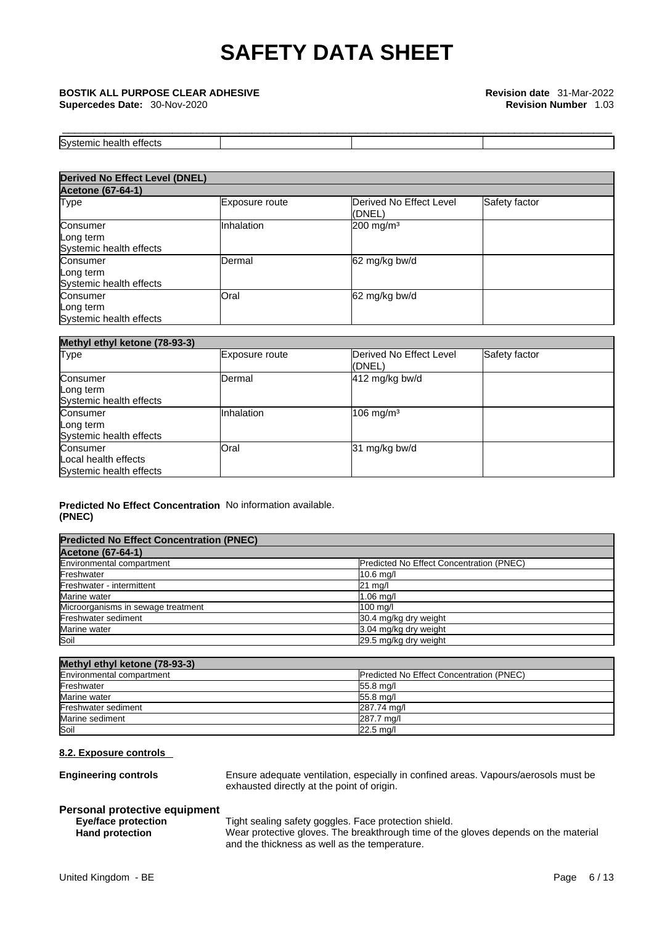\_\_\_\_\_\_\_\_\_\_\_\_\_\_\_\_\_\_\_\_\_\_\_\_\_\_\_\_\_\_\_\_\_\_\_\_\_\_\_\_\_\_\_\_\_\_\_\_\_\_\_\_\_\_\_\_\_\_\_\_\_\_\_\_\_\_\_\_\_\_\_\_\_\_\_\_\_\_\_\_\_\_\_\_\_\_\_\_\_\_ **BOSTIK ALL PURPOSE CLEAR ADHESIVE Revision date** 31-Mar-2022 **Supercedes Date:** 30-Nov-2020 **Revision Number** 1.03

| Sys<br><b></b><br>וזר<br>ш<br>-----<br>яш.<br>.<br>. |  |  |
|------------------------------------------------------|--|--|

| <b>Derived No Effect Level (DNEL)</b>            |                |                                   |               |  |  |  |
|--------------------------------------------------|----------------|-----------------------------------|---------------|--|--|--|
| <b>Acetone (67-64-1)</b>                         |                |                                   |               |  |  |  |
| <b>Type</b>                                      | Exposure route | Derived No Effect Level<br>(DNEL) | Safety factor |  |  |  |
| Consumer<br>Long term<br>Systemic health effects | Inhalation     | $200$ mg/m <sup>3</sup>           |               |  |  |  |
| Consumer<br>Long term<br>Systemic health effects | Dermal         | 62 mg/kg bw/d                     |               |  |  |  |
| Consumer<br>Long term<br>Systemic health effects | Oral           | 62 mg/kg bw/d                     |               |  |  |  |

| Methyl ethyl ketone (78-93-3)                               |                   |                                    |               |  |  |
|-------------------------------------------------------------|-------------------|------------------------------------|---------------|--|--|
| <b>Type</b>                                                 | Exposure route    | Derived No Effect Level<br>((DNEL) | Safety factor |  |  |
| Consumer<br>Long term<br>Systemic health effects            | IDermal           | 412 mg/kg bw/d                     |               |  |  |
| Consumer<br>Long term<br>Systemic health effects            | <b>Inhalation</b> | $106$ mg/m <sup>3</sup>            |               |  |  |
| Consumer<br>Local health effects<br>Systemic health effects | Oral              | 31 mg/kg bw/d                      |               |  |  |

# **Predicted No Effect Concentration** No information available. **(PNEC)**

| <b>Predicted No Effect Concentration (PNEC)</b> |                                                 |
|-------------------------------------------------|-------------------------------------------------|
| <b>Acetone (67-64-1)</b>                        |                                                 |
| Environmental compartment                       | <b>Predicted No Effect Concentration (PNEC)</b> |
| Freshwater                                      | $10.6$ mg/                                      |
| Freshwater - intermittent                       | $21 \text{ mq/l}$                               |
| Marine water                                    | $1.06$ mg/                                      |
| Microorganisms in sewage treatment              | 100 mg/l                                        |
| Freshwater sediment                             | 30.4 mg/kg dry weight                           |
| Marine water                                    | 3.04 mg/kg dry weight                           |
| Soil                                            | 29.5 mg/kg dry weight                           |

| Methyl ethyl ketone (78-93-3) |                                                 |
|-------------------------------|-------------------------------------------------|
| Environmental compartment     | <b>Predicted No Effect Concentration (PNEC)</b> |
| Freshwater                    | $55.8$ mg/                                      |
| Marine water                  | 55.8 mg/l                                       |
| Freshwater sediment           | 287.74 mg/l                                     |
| Marine sediment               | 287.7 mg/l                                      |
| Soil                          | $22.5 \text{ mg}$                               |

# **8.2. Exposure controls**

**Engineering controls** Ensure adequate ventilation, especially in confined areas. Vapours/aerosols must be exhausted directly at the point of origin.

# **Personal protective equipment**

**Eye/face protection** Tight sealing safety goggles. Face protection shield.

**Hand protection** Wear protective gloves. The breakthrough time of the gloves depends on the material and the thickness as well as the temperature.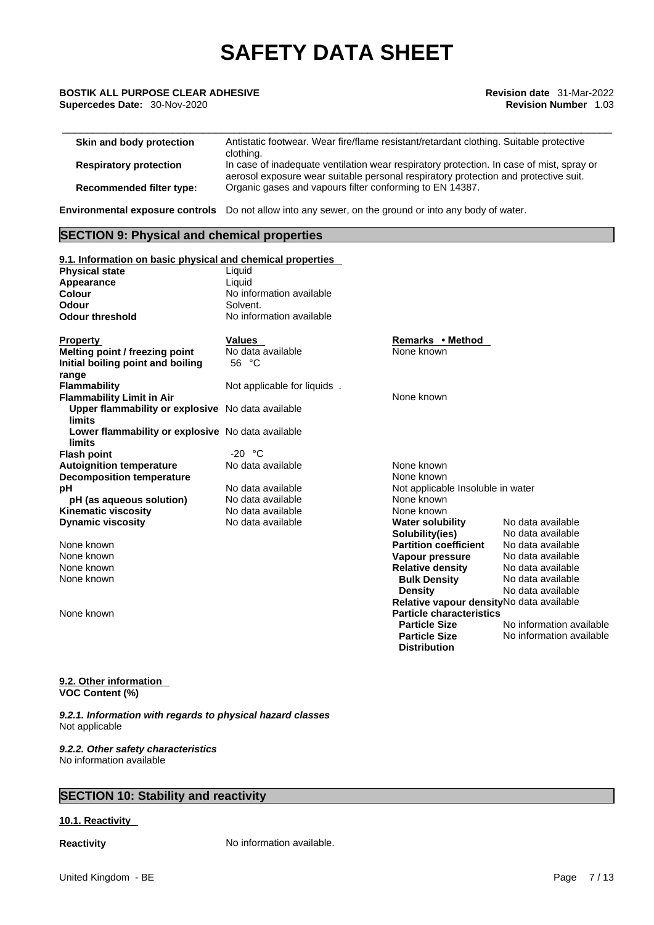# \_\_\_\_\_\_\_\_\_\_\_\_\_\_\_\_\_\_\_\_\_\_\_\_\_\_\_\_\_\_\_\_\_\_\_\_\_\_\_\_\_\_\_\_\_\_\_\_\_\_\_\_\_\_\_\_\_\_\_\_\_\_\_\_\_\_\_\_\_\_\_\_\_\_\_\_\_\_\_\_\_\_\_\_\_\_\_\_\_\_ **BOSTIK ALL PURPOSE CLEAR ADHESIVE Revision date** 31-Mar-2022

| Skin and body protection      | Antistatic footwear. Wear fire/flame resistant/retardant clothing. Suitable protective<br>clothing.                                                                             |
|-------------------------------|---------------------------------------------------------------------------------------------------------------------------------------------------------------------------------|
| <b>Respiratory protection</b> | In case of inadequate ventilation wear respiratory protection. In case of mist, spray or<br>aerosol exposure wear suitable personal respiratory protection and protective suit. |
| Recommended filter type:      | Organic gases and vapours filter conforming to EN 14387.                                                                                                                        |

**Environmental exposure controls** Do not allow into any sewer, on the ground or into any body of water.

# **SECTION 9: Physical and chemical properties**

| 9.1. Information on basic physical and chemical properties         |                             |                                           |                          |
|--------------------------------------------------------------------|-----------------------------|-------------------------------------------|--------------------------|
| <b>Physical state</b>                                              | Liquid                      |                                           |                          |
| Appearance                                                         | Liquid                      |                                           |                          |
| <b>Colour</b>                                                      | No information available    |                                           |                          |
| Odour                                                              | Solvent.                    |                                           |                          |
| <b>Odour threshold</b>                                             | No information available    |                                           |                          |
| <b>Property</b>                                                    | Values                      | Remarks • Method                          |                          |
| Melting point / freezing point                                     | No data available           | None known                                |                          |
| Initial boiling point and boiling<br>range                         | 56 °C                       |                                           |                          |
| <b>Flammability</b>                                                | Not applicable for liquids. |                                           |                          |
| <b>Flammability Limit in Air</b>                                   |                             | None known                                |                          |
| Upper flammability or explosive No data available<br><b>limits</b> |                             |                                           |                          |
| Lower flammability or explosive No data available<br>limits        |                             |                                           |                          |
| <b>Flash point</b>                                                 | $-20 °C$                    |                                           |                          |
| <b>Autoignition temperature</b>                                    | No data available           | None known                                |                          |
| <b>Decomposition temperature</b>                                   |                             | None known                                |                          |
| рH                                                                 | No data available           | Not applicable Insoluble in water         |                          |
| pH (as aqueous solution)                                           | No data available           | None known                                |                          |
| <b>Kinematic viscosity</b>                                         | No data available           | None known                                |                          |
| <b>Dynamic viscosity</b>                                           | No data available           | <b>Water solubility</b>                   | No data available        |
|                                                                    |                             | Solubility(ies)                           | No data available        |
| None known                                                         |                             | <b>Partition coefficient</b>              | No data available        |
| None known                                                         |                             | Vapour pressure                           | No data available        |
| None known                                                         |                             | <b>Relative density</b>                   | No data available        |
| None known                                                         |                             | <b>Bulk Density</b>                       | No data available        |
|                                                                    |                             | <b>Density</b>                            | No data available        |
|                                                                    |                             | Relative vapour density No data available |                          |
| None known                                                         |                             | <b>Particle characteristics</b>           |                          |
|                                                                    |                             | <b>Particle Size</b>                      | No information available |
|                                                                    |                             | <b>Particle Size</b>                      | No information available |
|                                                                    |                             | <b>Distribution</b>                       |                          |

# **9.2. Other information VOC Content (%)**

*9.2.1. Information with regards to physical hazard classes* Not applicable

*9.2.2. Other safety characteristics* No information available

# **SECTION 10: Stability and reactivity**

# **10.1. Reactivity**

**Reactivity No information available.**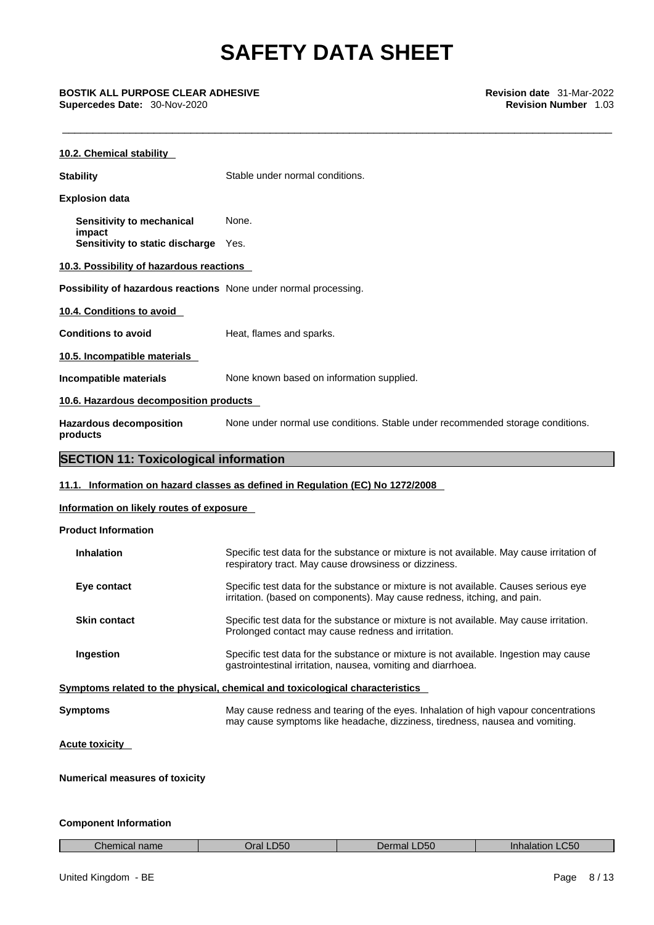\_\_\_\_\_\_\_\_\_\_\_\_\_\_\_\_\_\_\_\_\_\_\_\_\_\_\_\_\_\_\_\_\_\_\_\_\_\_\_\_\_\_\_\_\_\_\_\_\_\_\_\_\_\_\_\_\_\_\_\_\_\_\_\_\_\_\_\_\_\_\_\_\_\_\_\_\_\_\_\_\_\_\_\_\_\_\_\_\_\_ **BOSTIK ALL PURPOSE CLEAR ADHESIVE Revision date** 31-Mar-2022 **Supercedes Date:** 30-Nov-2020 **Revision Number** 1.03

| 10.2. Chemical stability                                         |                                                                                                                                                                     |
|------------------------------------------------------------------|---------------------------------------------------------------------------------------------------------------------------------------------------------------------|
| <b>Stability</b>                                                 | Stable under normal conditions.                                                                                                                                     |
| <b>Explosion data</b>                                            |                                                                                                                                                                     |
| Sensitivity to mechanical                                        | None.                                                                                                                                                               |
| impact<br>Sensitivity to static discharge Yes.                   |                                                                                                                                                                     |
| 10.3. Possibility of hazardous reactions                         |                                                                                                                                                                     |
| Possibility of hazardous reactions None under normal processing. |                                                                                                                                                                     |
| 10.4. Conditions to avoid                                        |                                                                                                                                                                     |
| <b>Conditions to avoid</b>                                       | Heat, flames and sparks.                                                                                                                                            |
| 10.5. Incompatible materials                                     |                                                                                                                                                                     |
| Incompatible materials                                           | None known based on information supplied.                                                                                                                           |
| 10.6. Hazardous decomposition products                           |                                                                                                                                                                     |
| <b>Hazardous decomposition</b><br>products                       | None under normal use conditions. Stable under recommended storage conditions.                                                                                      |
| <b>SECTION 11: Toxicological information</b>                     |                                                                                                                                                                     |
|                                                                  | 11.1. Information on hazard classes as defined in Regulation (EC) No 1272/2008                                                                                      |
| Information on likely routes of exposure                         |                                                                                                                                                                     |
| <b>Product Information</b>                                       |                                                                                                                                                                     |
| <b>Inhalation</b>                                                | Specific test data for the substance or mixture is not available. May cause irritation of<br>respiratory tract. May cause drowsiness or dizziness.                  |
| Eye contact                                                      | Specific test data for the substance or mixture is not available. Causes serious eye<br>irritation. (based on components). May cause redness, itching, and pain.    |
| <b>Skin contact</b>                                              | Specific test data for the substance or mixture is not available. May cause irritation.<br>Prolonged contact may cause redness and irritation.                      |
| Ingestion                                                        | Specific test data for the substance or mixture is not available. Ingestion may cause<br>gastrointestinal irritation, nausea, vomiting and diarrhoea.               |
|                                                                  | Symptoms related to the physical, chemical and toxicological characteristics                                                                                        |
| <b>Symptoms</b>                                                  | May cause redness and tearing of the eyes. Inhalation of high vapour concentrations<br>may cause symptoms like headache, dizziness, tiredness, nausea and vomiting. |
| <b>Acute toxicity</b>                                            |                                                                                                                                                                     |

**Numerical measures of toxicity**

# **Component Information**

| n a<br>Prai .<br>J5C<br>.C50<br>.D50<br><br>une.<br>name<br>aranor<br><b>1211</b><br>. . |
|------------------------------------------------------------------------------------------|
|------------------------------------------------------------------------------------------|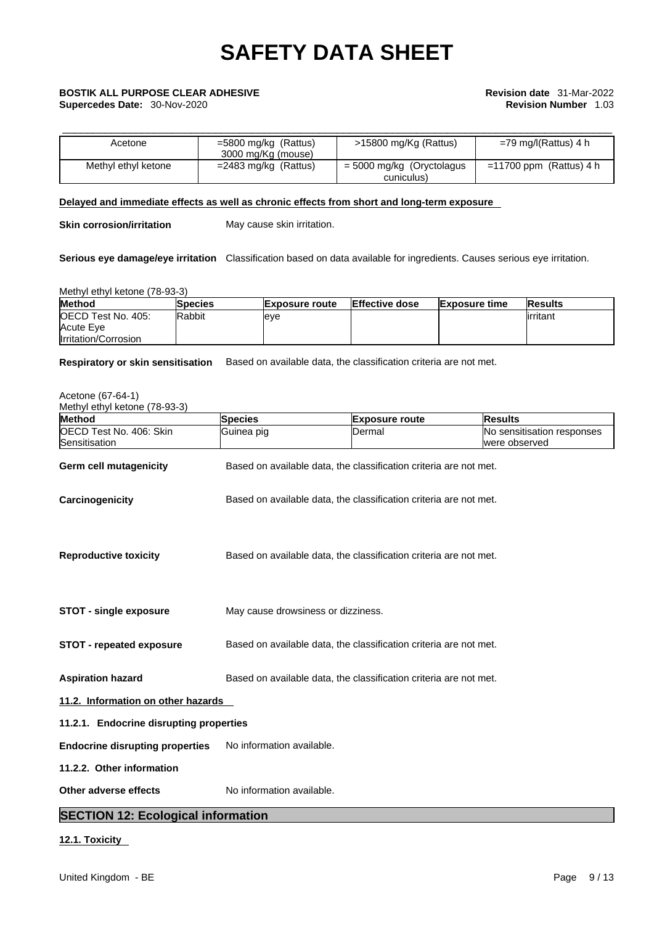| Acetone             | $=5800$ mg/kg (Rattus)<br>3000 mg/Kg (mouse) | >15800 mg/Kg (Rattus)     | $=$ 79 mg/l(Rattus) 4 h   |
|---------------------|----------------------------------------------|---------------------------|---------------------------|
| Methyl ethyl ketone | $=$ 2483 mg/kg (Rattus)                      | = 5000 mg/kg (Oryctolagus | $=11700$ ppm (Rattus) 4 h |
|                     |                                              | cuniculus)                |                           |

# **Delayed and immediate effects as well as chronic effects from short and long-term exposure**

**Skin corrosion/irritation** May cause skin irritation.

**Serious eye damage/eye irritation** Classification based on data available for ingredients. Causes serious eye irritation.

Methyl ethyl ketone (78-93-3)

| <b>Method</b>               | <b>Species</b> | <b>Exposure route</b> | Effective dose | <b>Exposure time</b> | <b>Results</b> |
|-----------------------------|----------------|-----------------------|----------------|----------------------|----------------|
| <b>IOECD Test No. 405:</b>  | Rabbit         | leve                  |                |                      | lirritant      |
| <b>Acute Eve</b>            |                |                       |                |                      |                |
| <b>Irritation/Corrosion</b> |                |                       |                |                      |                |

**Respiratory or skin sensitisation** Based on available data, the classification criteria are not met.

| Acetone (67-64-1)<br>Methyl ethyl ketone (78-93-3) |                                                                   |                       |                                             |  |  |
|----------------------------------------------------|-------------------------------------------------------------------|-----------------------|---------------------------------------------|--|--|
| <b>Method</b>                                      | <b>Species</b>                                                    | <b>Exposure route</b> | <b>Results</b>                              |  |  |
| OECD Test No. 406: Skin<br>Sensitisation           | Guinea pig                                                        | Dermal                | No sensitisation responses<br>were observed |  |  |
| Germ cell mutagenicity                             | Based on available data, the classification criteria are not met. |                       |                                             |  |  |
| Carcinogenicity                                    | Based on available data, the classification criteria are not met. |                       |                                             |  |  |
| <b>Reproductive toxicity</b>                       | Based on available data, the classification criteria are not met. |                       |                                             |  |  |
| <b>STOT - single exposure</b>                      | May cause drowsiness or dizziness.                                |                       |                                             |  |  |
| STOT - repeated exposure                           | Based on available data, the classification criteria are not met. |                       |                                             |  |  |
| <b>Aspiration hazard</b>                           | Based on available data, the classification criteria are not met. |                       |                                             |  |  |
| 11.2. Information on other hazards                 |                                                                   |                       |                                             |  |  |
| 11.2.1. Endocrine disrupting properties            |                                                                   |                       |                                             |  |  |
| <b>Endocrine disrupting properties</b>             | No information available.                                         |                       |                                             |  |  |
| 11.2.2. Other information                          |                                                                   |                       |                                             |  |  |
| Other adverse effects                              | No information available.                                         |                       |                                             |  |  |
| <b>SECTION 12: Ecological information</b>          |                                                                   |                       |                                             |  |  |

# **12.1. Toxicity**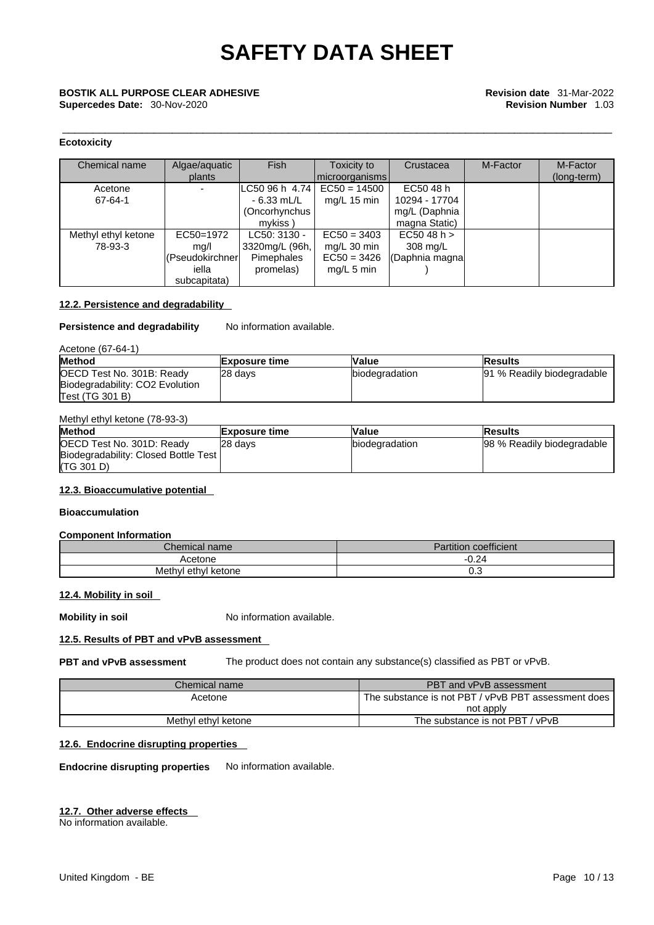# **Ecotoxicity**

| Chemical name       | Algae/aquatic<br>plants | <b>Fish</b>       | Toxicity to<br>  microorganisms | Crustacea      | M-Factor | M-Factor<br>(long-term) |
|---------------------|-------------------------|-------------------|---------------------------------|----------------|----------|-------------------------|
| Acetone             |                         | ILC50 96 h 4.74 l | $EC50 = 14500$                  | EC50 48 h      |          |                         |
| 67-64-1             |                         | - 6.33 mL/L       | mg/L $15 \text{ min}$           | 10294 - 17704  |          |                         |
|                     |                         | (Oncorhynchus     |                                 | mg/L (Daphnia  |          |                         |
|                     |                         | mykiss)           |                                 | magna Static)  |          |                         |
|                     |                         |                   |                                 |                |          |                         |
| Methyl ethyl ketone | EC50=1972               | LC50: 3130 -      | $EC50 = 3403$                   | EC5048 h >     |          |                         |
| 78-93-3             | mq/l                    | 3320mg/L (96h,    | mg/L 30 min                     | 308 mg/L       |          |                         |
|                     | (Pseudokirchner         | Pimephales        | $EC50 = 3426$                   | (Daphnia magna |          |                         |
|                     | iella                   | promelas)         | $mq/L$ 5 min                    |                |          |                         |
|                     | subcapitata)            |                   |                                 |                |          |                         |

# **12.2. Persistence and degradability**

## **Persistence and degradability** No information available.

## Acetone (67-64-1)

| <b>Method</b>                   | <b>Exposure time</b> | <b>Value</b>           | lResults                   |
|---------------------------------|----------------------|------------------------|----------------------------|
| OECD Test No. 301B: Ready       | 28 days              | <b>Ibiodegradation</b> | 91 % Readily biodegradable |
| Biodegradability: CO2 Evolution |                      |                        |                            |
| Test (TG 301 B)                 |                      |                        |                            |

# Methyl ethyl ketone (78-93-3)

| <b>Method</b>                        | <b>Exposure time</b> | Value                  | lResults                   |
|--------------------------------------|----------------------|------------------------|----------------------------|
| OECD Test No. 301D: Ready            | 28 davs              | <b>Ibiodegradation</b> | 98 % Readily biodegradable |
| Biodegradability: Closed Bottle Test |                      |                        |                            |
| (TG 301 D)                           |                      |                        |                            |

# **12.3. Bioaccumulative potential**

## **Bioaccumulation**

# **Component Information**

| Chemical name       | $\cdots$<br>coefficient<br>Partition |
|---------------------|--------------------------------------|
| Acetone             | $-0.24$                              |
| Methyl ethyl ketone | ∪.∪                                  |

# **12.4. Mobility in soil**

**Mobility in soil** No information available.

# **12.5. Results of PBT and vPvB assessment**

**PBT and vPvB assessment** The product does not contain any substance(s) classified as PBT or vPvB.

| Chemical name       | PBT and vPvB assessment                             |
|---------------------|-----------------------------------------------------|
| Acetone             | The substance is not PBT / vPvB PBT assessment does |
|                     | not apply                                           |
| Methyl ethyl ketone | The substance is not PBT / vPvB                     |

# **12.6. Endocrine disrupting properties**

**Endocrine disrupting properties** No information available.

# **12.7. Other adverse effects**

No information available.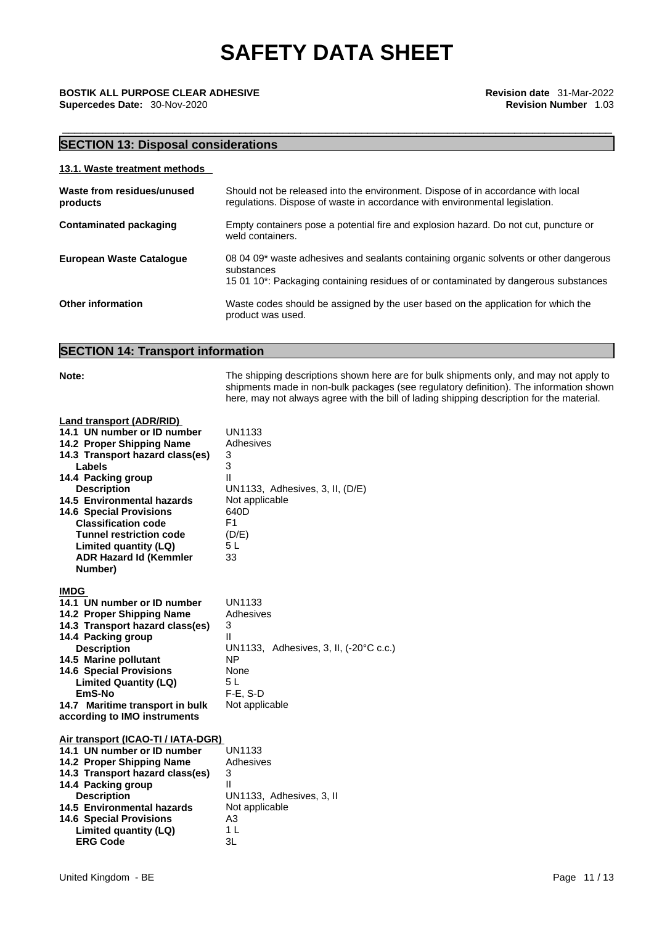\_\_\_\_\_\_\_\_\_\_\_\_\_\_\_\_\_\_\_\_\_\_\_\_\_\_\_\_\_\_\_\_\_\_\_\_\_\_\_\_\_\_\_\_\_\_\_\_\_\_\_\_\_\_\_\_\_\_\_\_\_\_\_\_\_\_\_\_\_\_\_\_\_\_\_\_\_\_\_\_\_\_\_\_\_\_\_\_\_\_ **BOSTIK ALL PURPOSE CLEAR ADHESIVE Revision date** 31-Mar-2022 **Supercedes Date:** 30-Nov-2020 **Revision Number** 1.03

# **SECTION 13: Disposal considerations**

| 13.1. Waste treatment methods          |                                                                                                                                                                                            |
|----------------------------------------|--------------------------------------------------------------------------------------------------------------------------------------------------------------------------------------------|
| Waste from residues/unused<br>products | Should not be released into the environment. Dispose of in accordance with local<br>regulations. Dispose of waste in accordance with environmental legislation.                            |
| Contaminated packaging                 | Empty containers pose a potential fire and explosion hazard. Do not cut, puncture or<br>weld containers.                                                                                   |
| <b>European Waste Cataloque</b>        | 08 04 09* waste adhesives and sealants containing organic solvents or other dangerous<br>substances<br>15 01 10*: Packaging containing residues of or contaminated by dangerous substances |

**Other information** Waste codes should be assigned by the user based on the application for which the product was used.

**Note:** The shipping descriptions shown here are for bulk shipments only, and may not apply to

# **SECTION 14: Transport information**

|                                                                                                                                                                                                                                                                                                                                                                                           | shipments made in non-bulk packages (see regulatory definition). The information shown<br>here, may not always agree with the bill of lading shipping description for the material. |
|-------------------------------------------------------------------------------------------------------------------------------------------------------------------------------------------------------------------------------------------------------------------------------------------------------------------------------------------------------------------------------------------|-------------------------------------------------------------------------------------------------------------------------------------------------------------------------------------|
| <b>Land transport (ADR/RID)</b><br>14.1 UN number or ID number<br>14.2 Proper Shipping Name<br>14.3 Transport hazard class(es)<br>Labels<br>14.4 Packing group<br><b>Description</b><br>14.5 Environmental hazards<br><b>14.6 Special Provisions</b><br><b>Classification code</b><br><b>Tunnel restriction code</b><br>Limited quantity (LQ)<br><b>ADR Hazard Id (Kemmler</b><br>Number) | <b>UN1133</b><br>Adhesives<br>3<br>3<br>Ш<br>UN1133, Adhesives, 3, II, (D/E)<br>Not applicable<br>640D<br>F1<br>(D/E)<br>5 <sub>L</sub><br>33                                       |
| <b>IMDG</b><br>14.1 UN number or ID number<br>14.2 Proper Shipping Name<br>14.3 Transport hazard class(es)<br>14.4 Packing group<br><b>Description</b><br>14.5 Marine pollutant<br><b>14.6 Special Provisions</b><br><b>Limited Quantity (LQ)</b><br>EmS-No<br>14.7 Maritime transport in bulk<br>according to IMO instruments                                                            | <b>UN1133</b><br>Adhesives<br>3<br>Ш<br>UN1133, Adhesives, 3, II, (-20°C c.c.)<br><b>NP</b><br>None<br>5L<br>$F-E. S-D$<br>Not applicable                                           |
| Air transport (ICAO-TI / IATA-DGR)<br>14.1 UN number or ID number<br>14.2 Proper Shipping Name<br>14.3 Transport hazard class(es)<br>14.4 Packing group<br><b>Description</b><br>14.5 Environmental hazards<br><b>14.6 Special Provisions</b><br>Limited quantity (LQ)<br><b>ERG Code</b>                                                                                                 | <b>UN1133</b><br>Adhesives<br>3<br>Ш<br>UN1133, Adhesives, 3, II<br>Not applicable<br>A3<br>1 <sub>L</sub><br>3L                                                                    |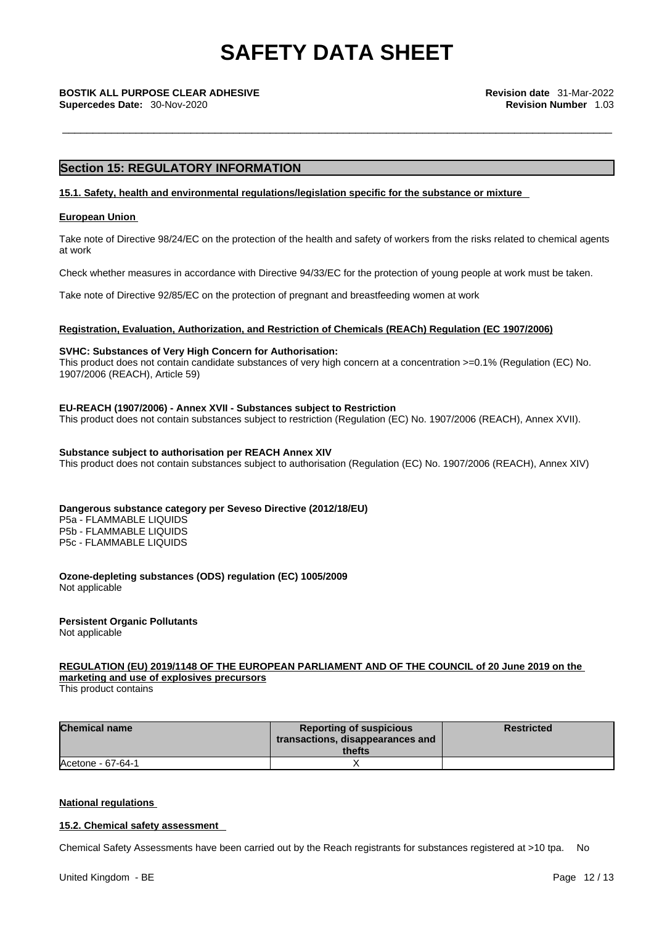\_\_\_\_\_\_\_\_\_\_\_\_\_\_\_\_\_\_\_\_\_\_\_\_\_\_\_\_\_\_\_\_\_\_\_\_\_\_\_\_\_\_\_\_\_\_\_\_\_\_\_\_\_\_\_\_\_\_\_\_\_\_\_\_\_\_\_\_\_\_\_\_\_\_\_\_\_\_\_\_\_\_\_\_\_\_\_\_\_\_ **BOSTIK ALL PURPOSE CLEAR ADHESIVE Revision date** 31-Mar-2022 **Supercedes Date:** 30-Nov-2020 **Revision Number** 1.03

# **Section 15: REGULATORY INFORMATION**

## **15.1. Safety, health and environmental regulations/legislation specific for the substance or mixture**

## **European Union**

Take note of Directive 98/24/EC on the protection of the health and safety of workers from the risks related to chemical agents at work

Check whether measures in accordance with Directive 94/33/EC for the protection of young people at work must be taken.

Take note of Directive 92/85/EC on the protection of pregnant and breastfeeding women at work

## **Registration, Evaluation, Authorization, and Restriction of Chemicals (REACh) Regulation (EC 1907/2006)**

# **SVHC: Substances of Very High Concern for Authorisation:**

This product does not contain candidate substances of very high concern at a concentration >=0.1% (Regulation (EC) No. 1907/2006 (REACH), Article 59)

## **EU-REACH (1907/2006) - Annex XVII - Substances subject to Restriction**

This product does not contain substances subject to restriction (Regulation (EC) No. 1907/2006 (REACH), Annex XVII).

### **Substance subject to authorisation per REACH Annex XIV**

This product does not contain substances subject to authorisation (Regulation (EC) No. 1907/2006 (REACH), Annex XIV)

## **Dangerous substance category per Seveso Directive (2012/18/EU)**

P5a - FLAMMABLE LIQUIDS P5b - FLAMMABLE LIQUIDS P5c - FLAMMABLE LIQUIDS

**Ozone-depleting substances (ODS) regulation (EC) 1005/2009** Not applicable

# **Persistent Organic Pollutants**

Not applicable

# **REGULATION (EU) 2019/1148 OF THE EUROPEAN PARLIAMENT AND OF THE COUNCIL of 20 June 2019 on the marketing and use ofexplosives precursors**

This product contains

| <b>Chemical name</b> | <b>Reporting of suspicious</b><br>transactions, disappearances and<br>thefts | <b>Restricted</b> |
|----------------------|------------------------------------------------------------------------------|-------------------|
| Acetone - 67-64-1    |                                                                              |                   |

## **National regulations**

## **15.2. Chemical safety assessment**

Chemical Safety Assessments have been carried out by the Reach registrants for substances registered at >10 tpa. No